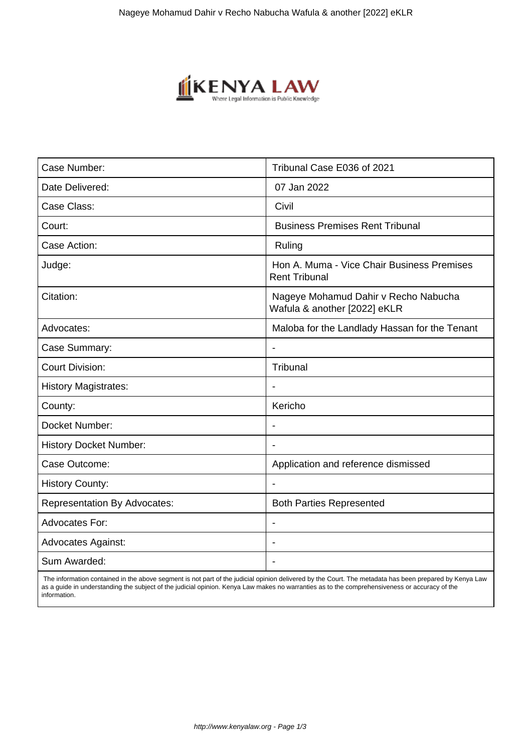

| Case Number:                        | Tribunal Case E036 of 2021                                           |
|-------------------------------------|----------------------------------------------------------------------|
| Date Delivered:                     | 07 Jan 2022                                                          |
| Case Class:                         | Civil                                                                |
| Court:                              | <b>Business Premises Rent Tribunal</b>                               |
| Case Action:                        | Ruling                                                               |
| Judge:                              | Hon A. Muma - Vice Chair Business Premises<br><b>Rent Tribunal</b>   |
| Citation:                           | Nageye Mohamud Dahir v Recho Nabucha<br>Wafula & another [2022] eKLR |
| Advocates:                          | Maloba for the Landlady Hassan for the Tenant                        |
| Case Summary:                       | $\blacksquare$                                                       |
| <b>Court Division:</b>              | Tribunal                                                             |
| <b>History Magistrates:</b>         |                                                                      |
| County:                             | Kericho                                                              |
| Docket Number:                      | $\overline{\phantom{a}}$                                             |
| <b>History Docket Number:</b>       |                                                                      |
| Case Outcome:                       | Application and reference dismissed                                  |
| <b>History County:</b>              |                                                                      |
| <b>Representation By Advocates:</b> | <b>Both Parties Represented</b>                                      |
| <b>Advocates For:</b>               |                                                                      |
| <b>Advocates Against:</b>           |                                                                      |
| Sum Awarded:                        |                                                                      |

 The information contained in the above segment is not part of the judicial opinion delivered by the Court. The metadata has been prepared by Kenya Law as a guide in understanding the subject of the judicial opinion. Kenya Law makes no warranties as to the comprehensiveness or accuracy of the information.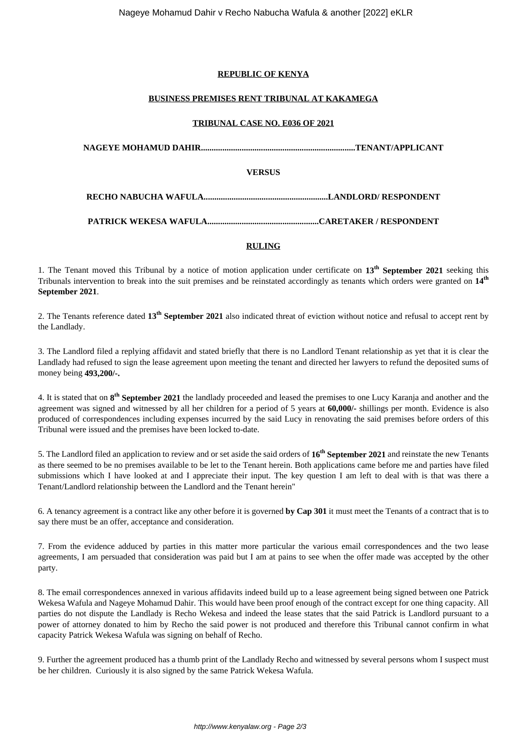# **REPUBLIC OF KENYA**

# **BUSINESS PREMISES RENT TRIBUNAL AT KAKAMEGA**

## **TRIBUNAL CASE NO. E036 OF 2021**

| VERSUS |  |
|--------|--|
|        |  |
|        |  |

#### **RULING**

1. The Tenant moved this Tribunal by a notice of motion application under certificate on **13th September 2021** seeking this Tribunals intervention to break into the suit premises and be reinstated accordingly as tenants which orders were granted on **14th September 2021**.

2. The Tenants reference dated **13th September 2021** also indicated threat of eviction without notice and refusal to accept rent by the Landlady.

3. The Landlord filed a replying affidavit and stated briefly that there is no Landlord Tenant relationship as yet that it is clear the Landlady had refused to sign the lease agreement upon meeting the tenant and directed her lawyers to refund the deposited sums of money being **493,200/-.**

4. It is stated that on **8 th September 2021** the landlady proceeded and leased the premises to one Lucy Karanja and another and the agreement was signed and witnessed by all her children for a period of 5 years at **60,000/-** shillings per month. Evidence is also produced of correspondences including expenses incurred by the said Lucy in renovating the said premises before orders of this Tribunal were issued and the premises have been locked to-date.

5. The Landlord filed an application to review and or set aside the said orders of **16th September 2021** and reinstate the new Tenants as there seemed to be no premises available to be let to the Tenant herein. Both applications came before me and parties have filed submissions which I have looked at and I appreciate their input. The key question I am left to deal with is that was there a Tenant/Landlord relationship between the Landlord and the Tenant herein"

6. A tenancy agreement is a contract like any other before it is governed **by Cap 301** it must meet the Tenants of a contract that is to say there must be an offer, acceptance and consideration.

7. From the evidence adduced by parties in this matter more particular the various email correspondences and the two lease agreements, I am persuaded that consideration was paid but I am at pains to see when the offer made was accepted by the other party.

8. The email correspondences annexed in various affidavits indeed build up to a lease agreement being signed between one Patrick Wekesa Wafula and Nageye Mohamud Dahir. This would have been proof enough of the contract except for one thing capacity. All parties do not dispute the Landlady is Recho Wekesa and indeed the lease states that the said Patrick is Landlord pursuant to a power of attorney donated to him by Recho the said power is not produced and therefore this Tribunal cannot confirm in what capacity Patrick Wekesa Wafula was signing on behalf of Recho.

9. Further the agreement produced has a thumb print of the Landlady Recho and witnessed by several persons whom I suspect must be her children. Curiously it is also signed by the same Patrick Wekesa Wafula.